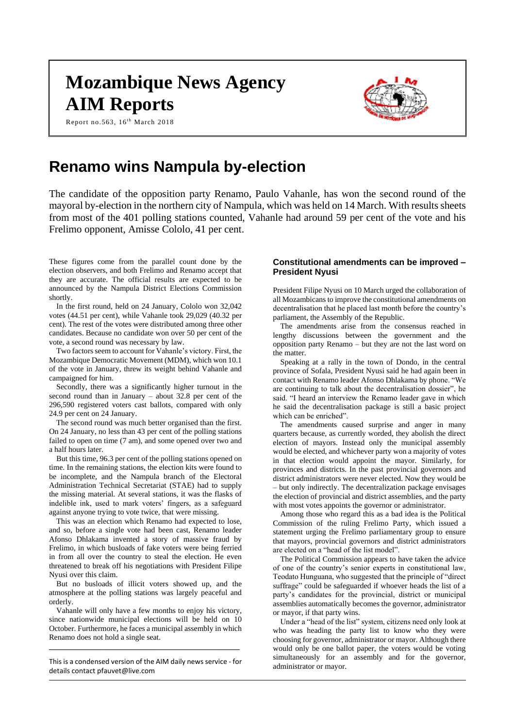# **Mozambique News Agency AIM Reports**

Report no.563, 16<sup>th</sup> March 2018



# **Renamo wins Nampula by-election**

The candidate of the opposition party Renamo, Paulo Vahanle, has won the second round of the mayoral by-election in the northern city of Nampula, which was held on 14 March. With results sheets from most of the 401 polling stations counted, Vahanle had around 59 per cent of the vote and his Frelimo opponent, Amisse Cololo, 41 per cent.

These figures come from the parallel count done by the election observers, and both Frelimo and Renamo accept that they are accurate. The official results are expected to be announced by the Nampula District Elections Commission shortly.

In the first round, held on 24 January, Cololo won 32,042 votes (44.51 per cent), while Vahanle took 29,029 (40.32 per cent). The rest of the votes were distributed among three other candidates. Because no candidate won over 50 per cent of the vote, a second round was necessary by law.

Two factors seem to account for Vahanle's victory. First, the Mozambique Democratic Movement (MDM), which won 10.1 of the vote in January, threw its weight behind Vahanle and campaigned for him.

Secondly, there was a significantly higher turnout in the second round than in January – about 32.8 per cent of the 296,590 registered voters cast ballots, compared with only 24.9 per cent on 24 January.

The second round was much better organised than the first. On 24 January, no less than 43 per cent of the polling stations failed to open on time (7 am), and some opened over two and a half hours later.

But this time, 96.3 per cent of the polling stations opened on time. In the remaining stations, the election kits were found to be incomplete, and the Nampula branch of the Electoral Administration Technical Secretariat (STAE) had to supply the missing material. At several stations, it was the flasks of indelible ink, used to mark voters' fingers, as a safeguard against anyone trying to vote twice, that were missing.

This was an election which Renamo had expected to lose, and so, before a single vote had been cast, Renamo leader Afonso Dhlakama invented a story of massive fraud by Frelimo, in which busloads of fake voters were being ferried in from all over the country to steal the election. He even threatened to break off his negotiations with President Filipe Nyusi over this claim.

But no busloads of illicit voters showed up, and the atmosphere at the polling stations was largely peaceful and orderly.

Vahanle will only have a few months to enjoy his victory, since nationwide municipal elections will be held on 10 October. Furthermore, he faces a municipal assembly in which Renamo does not hold a single seat.

This is a condensed version of the AIM daily news service - for details contac[t pfauvet@live.com](mailto:pfauvet@live.com)

**\_\_\_\_\_\_\_\_\_\_\_\_\_\_\_\_\_\_\_\_\_\_\_\_\_\_\_\_\_\_\_\_\_\_\_\_\_\_\_\_\_\_\_\_\_\_\_\_\_**

# **Constitutional amendments can be improved – President Nyusi**

President Filipe Nyusi on 10 March urged the collaboration of all Mozambicans to improve the constitutional amendments on decentralisation that he placed last month before the country's parliament, the Assembly of the Republic.

The amendments arise from the consensus reached in lengthy discussions between the government and the opposition party Renamo – but they are not the last word on the matter.

Speaking at a rally in the town of Dondo, in the central province of Sofala, President Nyusi said he had again been in contact with Renamo leader Afonso Dhlakama by phone. "We are continuing to talk about the decentralisation dossier", he said. "I heard an interview the Renamo leader gave in which he said the decentralisation package is still a basic project which can be enriched".

The amendments caused surprise and anger in many quarters because, as currently worded, they abolish the direct election of mayors. Instead only the municipal assembly would be elected, and whichever party won a majority of votes in that election would appoint the mayor. Similarly, for provinces and districts. In the past provincial governors and district administrators were never elected. Now they would be – but only indirectly. The decentralization package envisages the election of provincial and district assemblies, and the party with most votes appoints the governor or administrator.

Among those who regard this as a bad idea is the Political Commission of the ruling Frelimo Party, which issued a statement urging the Frelimo parliamentary group to ensure that mayors, provincial governors and district administrators are elected on a "head of the list model".

The Political Commission appears to have taken the advice of one of the country's senior experts in constitutional law, Teodato Hunguana, who suggested that the principle of "direct suffrage" could be safeguarded if whoever heads the list of a party's candidates for the provincial, district or municipal assemblies automatically becomes the governor, administrator or mayor, if that party wins.

Under a "head of the list" system, citizens need only look at who was heading the party list to know who they were choosing for governor, administrator or mayor. Although there would only be one ballot paper, the voters would be voting simultaneously for an assembly and for the governor, administrator or mayor.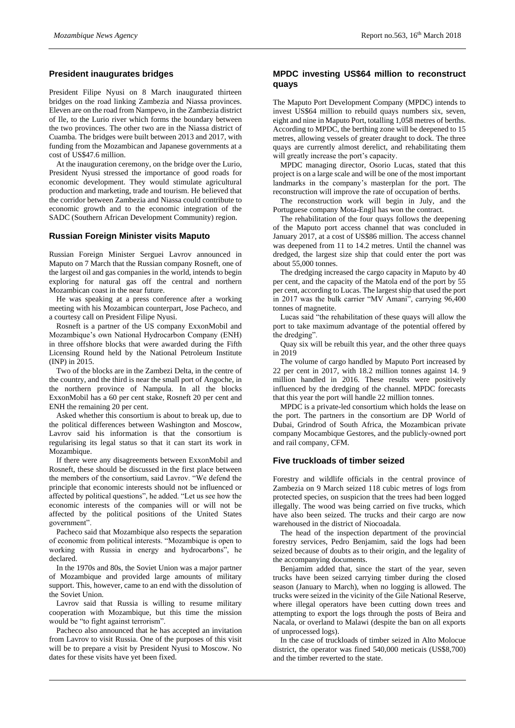# **President inaugurates bridges**

President Filipe Nyusi on 8 March inaugurated thirteen bridges on the road linking Zambezia and Niassa provinces. Eleven are on the road from Nampevo, in the Zambezia district of Ile, to the Lurio river which forms the boundary between the two provinces. The other two are in the Niassa district of Cuamba. The bridges were built between 2013 and 2017, with funding from the Mozambican and Japanese governments at a cost of US\$47.6 million.

At the inauguration ceremony, on the bridge over the Lurio, President Nyusi stressed the importance of good roads for economic development. They would stimulate agricultural production and marketing, trade and tourism. He believed that the corridor between Zambezia and Niassa could contribute to economic growth and to the economic integration of the SADC (Southern African Development Community) region.

# **Russian Foreign Minister visits Maputo**

Russian Foreign Minister Serguei Lavrov announced in Maputo on 7 March that the Russian company Rosneft, one of the largest oil and gas companies in the world, intends to begin exploring for natural gas off the central and northern Mozambican coast in the near future.

He was speaking at a press conference after a working meeting with his Mozambican counterpart, Jose Pacheco, and a courtesy call on President Filipe Nyusi.

Rosneft is a partner of the US company ExxonMobil and Mozambique's own National Hydrocarbon Company (ENH) in three offshore blocks that were awarded during the Fifth Licensing Round held by the National Petroleum Institute (INP) in 2015.

Two of the blocks are in the Zambezi Delta, in the centre of the country, and the third is near the small port of Angoche, in the northern province of Nampula. In all the blocks ExxonMobil has a 60 per cent stake, Rosneft 20 per cent and ENH the remaining 20 per cent.

Asked whether this consortium is about to break up, due to the political differences between Washington and Moscow, Lavrov said his information is that the consortium is regularising its legal status so that it can start its work in Mozambique.

If there were any disagreements between ExxonMobil and Rosneft, these should be discussed in the first place between the members of the consortium, said Lavrov. "We defend the principle that economic interests should not be influenced or affected by political questions", he added. "Let us see how the economic interests of the companies will or will not be affected by the political positions of the United States government".

Pacheco said that Mozambique also respects the separation of economic from political interests. "Mozambique is open to working with Russia in energy and hydrocarbons", he declared.

In the 1970s and 80s, the Soviet Union was a major partner of Mozambique and provided large amounts of military support. This, however, came to an end with the dissolution of the Soviet Union.

Lavrov said that Russia is willing to resume military cooperation with Mozambique, but this time the mission would be "to fight against terrorism".

Pacheco also announced that he has accepted an invitation from Lavrov to visit Russia. One of the purposes of this visit will be to prepare a visit by President Nyusi to Moscow. No dates for these visits have yet been fixed.

# **MPDC investing US\$64 million to reconstruct quays**

The Maputo Port Development Company (MPDC) intends to invest US\$64 million to rebuild quays numbers six, seven, eight and nine in Maputo Port, totalling 1,058 metres of berths. According to MPDC, the berthing zone will be deepened to 15 metres, allowing vessels of greater draught to dock. The three quays are currently almost derelict, and rehabilitating them will greatly increase the port's capacity.

MPDC managing director, Osorio Lucas, stated that this project is on a large scale and will be one of the most important landmarks in the company's masterplan for the port. The reconstruction will improve the rate of occupation of berths.

The reconstruction work will begin in July, and the Portuguese company Mota-Engil has won the contract.

The rehabilitation of the four quays follows the deepening of the Maputo port access channel that was concluded in January 2017, at a cost of US\$86 million. The access channel was deepened from 11 to 14.2 metres. Until the channel was dredged, the largest size ship that could enter the port was about 55,000 tonnes.

The dredging increased the cargo capacity in Maputo by 40 per cent, and the capacity of the Matola end of the port by 55 per cent, according to Lucas. The largest ship that used the port in 2017 was the bulk carrier "MV Amani", carrying 96,400 tonnes of magnetite.

Lucas said "the rehabilitation of these quays will allow the port to take maximum advantage of the potential offered by the dredging".

Quay six will be rebuilt this year, and the other three quays in 2019

The volume of cargo handled by Maputo Port increased by 22 per cent in 2017, with 18.2 million tonnes against 14. 9 million handled in 2016. These results were positively influenced by the dredging of the channel. MPDC forecasts that this year the port will handle 22 million tonnes.

MPDC is a private-led consortium which holds the lease on the port. The partners in the consortium are DP World of Dubai, Grindrod of South Africa, the Mozambican private company Mocambique Gestores, and the publicly-owned port and rail company, CFM.

# **Five truckloads of timber seized**

Forestry and wildlife officials in the central province of Zambezia on 9 March seized 118 cubic metres of logs from protected species, on suspicion that the trees had been logged illegally. The wood was being carried on five trucks, which have also been seized. The trucks and their cargo are now warehoused in the district of Niocoadala.

The head of the inspection department of the provincial forestry services, Pedro Benjamim, said the logs had been seized because of doubts as to their origin, and the legality of the accompanying documents.

Benjamim added that, since the start of the year, seven trucks have been seized carrying timber during the closed season (January to March), when no logging is allowed. The trucks were seized in the vicinity of the Gile National Reserve, where illegal operators have been cutting down trees and attempting to export the logs through the posts of Beira and Nacala, or overland to Malawi (despite the ban on all exports of unprocessed logs).

In the case of truckloads of timber seized in Alto Molocue district, the operator was fined 540,000 meticais (US\$8,700) and the timber reverted to the state.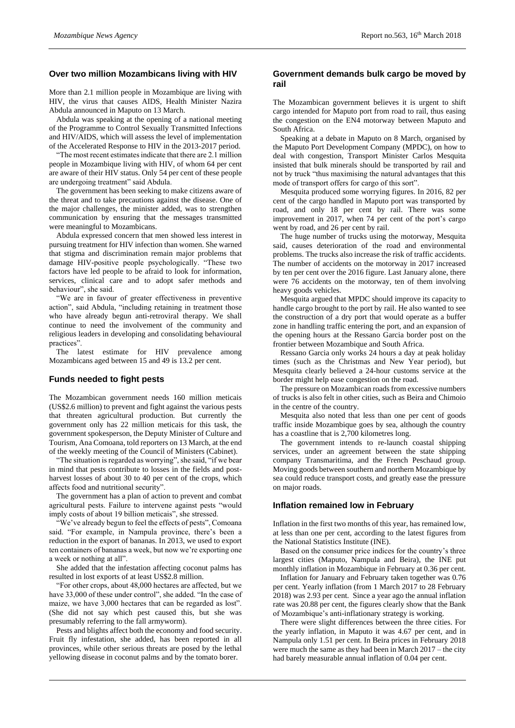#### **Over two million Mozambicans living with HIV**

More than 2.1 million people in Mozambique are living with HIV, the virus that causes AIDS, Health Minister Nazira Abdula announced in Maputo on 13 March.

Abdula was speaking at the opening of a national meeting of the Programme to Control Sexually Transmitted Infections and HIV/AIDS, which will assess the level of implementation of the Accelerated Response to HIV in the 2013-2017 period.

"The most recent estimates indicate that there are 2.1 million people in Mozambique living with HIV, of whom 64 per cent are aware of their HIV status. Only 54 per cent of these people are undergoing treatment" said Abdula.

The government has been seeking to make citizens aware of the threat and to take precautions against the disease. One of the major challenges, the minister added, was to strengthen communication by ensuring that the messages transmitted were meaningful to Mozambicans.

Abdula expressed concern that men showed less interest in pursuing treatment for HIV infection than women. She warned that stigma and discrimination remain major problems that damage HIV-positive people psychologically. "These two factors have led people to be afraid to look for information, services, clinical care and to adopt safer methods and behaviour", she said.

"We are in favour of greater effectiveness in preventive action", said Abdula, "including retaining in treatment those who have already begun anti-retroviral therapy. We shall continue to need the involvement of the community and religious leaders in developing and consolidating behavioural practices".

The latest estimate for HIV prevalence among Mozambicans aged between 15 and 49 is 13.2 per cent.

#### **Funds needed to fight pests**

The Mozambican government needs 160 million meticais (US\$2.6 million) to prevent and fight against the various pests that threaten agricultural production. But currently the government only has 22 million meticais for this task, the government spokesperson, the Deputy Minister of Culture and Tourism, Ana Comoana, told reporters on 13 March, at the end of the weekly meeting of the Council of Ministers (Cabinet).

"The situation is regarded as worrying", she said, "if we bear in mind that pests contribute to losses in the fields and postharvest losses of about 30 to 40 per cent of the crops, which affects food and nutritional security".

The government has a plan of action to prevent and combat agricultural pests. Failure to intervene against pests "would imply costs of about 19 billion meticais", she stressed.

"We've already begun to feel the effects of pests", Comoana said. "For example, in Nampula province, there's been a reduction in the export of bananas. In 2013, we used to export ten containers of bananas a week, but now we're exporting one a week or nothing at all".

She added that the infestation affecting coconut palms has resulted in lost exports of at least US\$2.8 million.

"For other crops, about 48,000 hectares are affected, but we have 33,000 of these under control", she added. "In the case of maize, we have 3,000 hectares that can be regarded as lost". (She did not say which pest caused this, but she was presumably referring to the fall armyworm).

Pests and blights affect both the economy and food security. Fruit fly infestation, she added, has been reported in all provinces, while other serious threats are posed by the lethal yellowing disease in coconut palms and by the tomato borer.

# **Government demands bulk cargo be moved by rail**

The Mozambican government believes it is urgent to shift cargo intended for Maputo port from road to rail, thus easing the congestion on the EN4 motorway between Maputo and South Africa.

Speaking at a debate in Maputo on 8 March, organised by the Maputo Port Development Company (MPDC), on how to deal with congestion, Transport Minister Carlos Mesquita insisted that bulk minerals should be transported by rail and not by truck "thus maximising the natural advantages that this mode of transport offers for cargo of this sort".

Mesquita produced some worrying figures. In 2016, 82 per cent of the cargo handled in Maputo port was transported by road, and only 18 per cent by rail. There was some improvement in 2017, when 74 per cent of the port's cargo went by road, and 26 per cent by rail.

The huge number of trucks using the motorway, Mesquita said, causes deterioration of the road and environmental problems. The trucks also increase the risk of traffic accidents. The number of accidents on the motorway in 2017 increased by ten per cent over the 2016 figure. Last January alone, there were 76 accidents on the motorway, ten of them involving heavy goods vehicles.

Mesquita argued that MPDC should improve its capacity to handle cargo brought to the port by rail. He also wanted to see the construction of a dry port that would operate as a buffer zone in handling traffic entering the port, and an expansion of the opening hours at the Ressano Garcia border post on the frontier between Mozambique and South Africa.

Ressano Garcia only works 24 hours a day at peak holiday times (such as the Christmas and New Year period), but Mesquita clearly believed a 24-hour customs service at the border might help ease congestion on the road.

The pressure on Mozambican roads from excessive numbers of trucks is also felt in other cities, such as Beira and Chimoio in the centre of the country.

Mesquita also noted that less than one per cent of goods traffic inside Mozambique goes by sea, although the country has a coastline that is 2,700 kilometres long.

The government intends to re-launch coastal shipping services, under an agreement between the state shipping company Transmaritima, and the French Peschaud group. Moving goods between southern and northern Mozambique by sea could reduce transport costs, and greatly ease the pressure on major roads.

#### **Inflation remained low in February**

Inflation in the first two months of this year, has remained low, at less than one per cent, according to the latest figures from the National Statistics Institute (INE).

Based on the consumer price indices for the country's three largest cities (Maputo, Nampula and Beira), the INE put monthly inflation in Mozambique in February at 0.36 per cent.

Inflation for January and February taken together was 0.76 per cent. Yearly inflation (from 1 March 2017 to 28 February 2018) was 2.93 per cent. Since a year ago the annual inflation rate was 20.88 per cent, the figures clearly show that the Bank of Mozambique's anti-inflationary strategy is working.

There were slight differences between the three cities. For the yearly inflation, in Maputo it was 4.67 per cent, and in Nampula only 1.51 per cent. In Beira prices in February 2018 were much the same as they had been in March 2017 – the city had barely measurable annual inflation of 0.04 per cent.